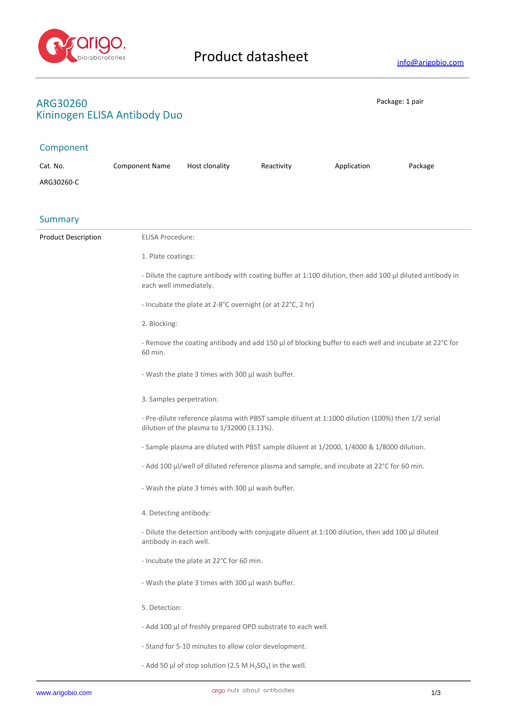

## **ARG30260** Package: 1 pair **Kininogen ELISA Antibody Duo**

## Component

| Cat. No.                   | <b>Component Name</b>    | Host clonality                                                                                                                                 | Reactivity                                                   | Application                                                                                       | Package |  |
|----------------------------|--------------------------|------------------------------------------------------------------------------------------------------------------------------------------------|--------------------------------------------------------------|---------------------------------------------------------------------------------------------------|---------|--|
| ARG30260-C                 |                          |                                                                                                                                                |                                                              |                                                                                                   |         |  |
|                            |                          |                                                                                                                                                |                                                              |                                                                                                   |         |  |
|                            |                          |                                                                                                                                                |                                                              |                                                                                                   |         |  |
| <b>Summary</b>             |                          |                                                                                                                                                |                                                              |                                                                                                   |         |  |
| <b>Product Description</b> | <b>ELISA Procedure:</b>  |                                                                                                                                                |                                                              |                                                                                                   |         |  |
|                            | 1. Plate coatings:       |                                                                                                                                                |                                                              |                                                                                                   |         |  |
|                            |                          | - Dilute the capture antibody with coating buffer at 1:100 dilution, then add 100 µl diluted antibody in<br>each well immediately.             |                                                              |                                                                                                   |         |  |
|                            |                          | - Incubate the plate at 2-8°C overnight (or at 22°C, 2 hr)                                                                                     |                                                              |                                                                                                   |         |  |
|                            | 2. Blocking:             |                                                                                                                                                |                                                              |                                                                                                   |         |  |
|                            | 60 min.                  | - Remove the coating antibody and add 150 µl of blocking buffer to each well and incubate at 22°C for                                          |                                                              |                                                                                                   |         |  |
|                            |                          | - Wash the plate 3 times with 300 µl wash buffer.                                                                                              |                                                              |                                                                                                   |         |  |
|                            | 3. Samples perpetration: |                                                                                                                                                |                                                              |                                                                                                   |         |  |
|                            |                          | - Pre-dilute reference plasma with PBST sample diluent at 1:1000 dilution (100%) then 1/2 serial<br>dilution of the plasma to 1/32000 (3.13%). |                                                              |                                                                                                   |         |  |
|                            |                          |                                                                                                                                                |                                                              | - Sample plasma are diluted with PBST sample diluent at 1/2000, 1/4000 & 1/8000 dilution.         |         |  |
|                            |                          |                                                                                                                                                |                                                              | - Add 100 µl/well of diluted reference plasma and sample, and incubate at 22°C for 60 min.        |         |  |
|                            |                          | - Wash the plate 3 times with 300 µl wash buffer.                                                                                              |                                                              |                                                                                                   |         |  |
|                            |                          | 4. Detecting antibody:                                                                                                                         |                                                              |                                                                                                   |         |  |
|                            | antibody in each well.   |                                                                                                                                                |                                                              | - Dilute the detection antibody with conjugate diluent at 1:100 dilution, then add 100 µl diluted |         |  |
|                            |                          | - Incubate the plate at 22°C for 60 min.                                                                                                       |                                                              |                                                                                                   |         |  |
|                            |                          | - Wash the plate 3 times with 300 µl wash buffer.                                                                                              |                                                              |                                                                                                   |         |  |
|                            | 5. Detection:            |                                                                                                                                                |                                                              |                                                                                                   |         |  |
|                            |                          |                                                                                                                                                | - Add 100 µl of freshly prepared OPD substrate to each well. |                                                                                                   |         |  |
|                            |                          | - Stand for 5-10 minutes to allow color development.                                                                                           |                                                              |                                                                                                   |         |  |
|                            |                          | - Add 50 µl of stop solution (2.5 M $H_2SO_4$ ) in the well.                                                                                   |                                                              |                                                                                                   |         |  |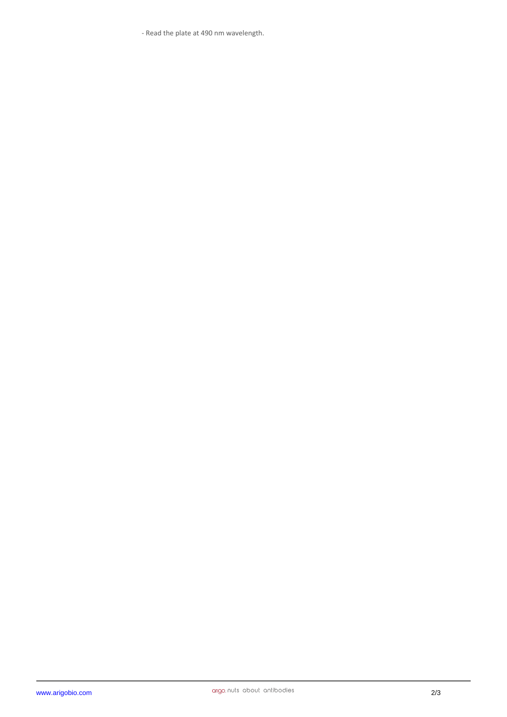- Read the plate at 490 nm wavelength.